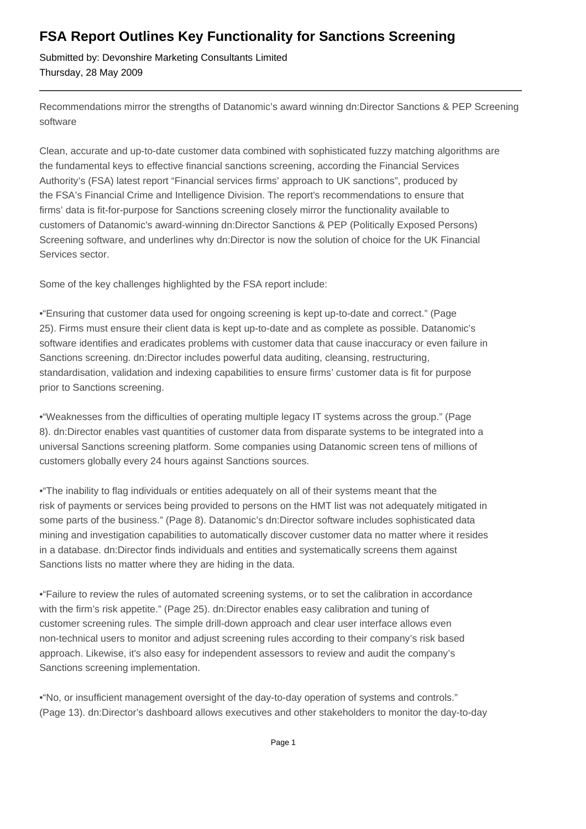## **FSA Report Outlines Key Functionality for Sanctions Screening**

Submitted by: Devonshire Marketing Consultants Limited Thursday, 28 May 2009

Recommendations mirror the strengths of Datanomic's award winning dn:Director Sanctions & PEP Screening software

Clean, accurate and up-to-date customer data combined with sophisticated fuzzy matching algorithms are the fundamental keys to effective financial sanctions screening, according the Financial Services Authority's (FSA) latest report "Financial services firms' approach to UK sanctions", produced by the FSA's Financial Crime and Intelligence Division. The report's recommendations to ensure that firms' data is fit-for-purpose for Sanctions screening closely mirror the functionality available to customers of Datanomic's award-winning dn:Director Sanctions & PEP (Politically Exposed Persons) Screening software, and underlines why dn:Director is now the solution of choice for the UK Financial Services sector.

Some of the key challenges highlighted by the FSA report include:

•"Ensuring that customer data used for ongoing screening is kept up-to-date and correct." (Page 25). Firms must ensure their client data is kept up-to-date and as complete as possible. Datanomic's software identifies and eradicates problems with customer data that cause inaccuracy or even failure in Sanctions screening. dn:Director includes powerful data auditing, cleansing, restructuring, standardisation, validation and indexing capabilities to ensure firms' customer data is fit for purpose prior to Sanctions screening.

•"Weaknesses from the difficulties of operating multiple legacy IT systems across the group." (Page 8). dn:Director enables vast quantities of customer data from disparate systems to be integrated into a universal Sanctions screening platform. Some companies using Datanomic screen tens of millions of customers globally every 24 hours against Sanctions sources.

•"The inability to flag individuals or entities adequately on all of their systems meant that the risk of payments or services being provided to persons on the HMT list was not adequately mitigated in some parts of the business." (Page 8). Datanomic's dn:Director software includes sophisticated data mining and investigation capabilities to automatically discover customer data no matter where it resides in a database. dn:Director finds individuals and entities and systematically screens them against Sanctions lists no matter where they are hiding in the data.

•"Failure to review the rules of automated screening systems, or to set the calibration in accordance with the firm's risk appetite." (Page 25). dn:Director enables easy calibration and tuning of customer screening rules. The simple drill-down approach and clear user interface allows even non-technical users to monitor and adjust screening rules according to their company's risk based approach. Likewise, it's also easy for independent assessors to review and audit the company's Sanctions screening implementation.

•"No, or insufficient management oversight of the day-to-day operation of systems and controls." (Page 13). dn:Director's dashboard allows executives and other stakeholders to monitor the day-to-day